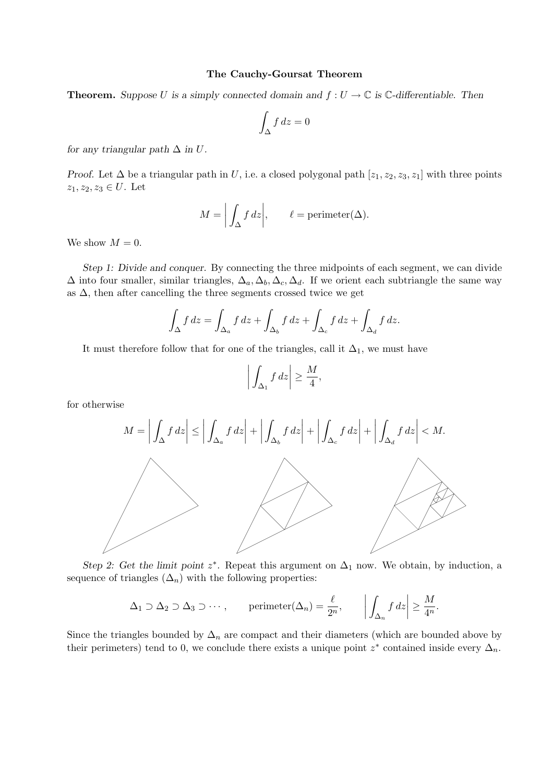## The Cauchy-Goursat Theorem

**Theorem.** Suppose U is a simply connected domain and  $f: U \to \mathbb{C}$  is  $\mathbb{C}$ -differentiable. Then

$$
\int_{\Delta} f \, dz = 0
$$

for any triangular path  $\Delta$  in U.

Proof. Let  $\Delta$  be a triangular path in U, i.e. a closed polygonal path [ $z_1, z_2, z_3, z_1$ ] with three points  $z_1, z_2, z_3 \in U$ . Let

$$
M = \left| \int_{\Delta} f \, dz \right|, \qquad \ell = \text{perimeter}(\Delta).
$$

We show  $M = 0$ .

Step 1: Divide and conquer. By connecting the three midpoints of each segment, we can divide  $\Delta$  into four smaller, similar triangles,  $\Delta_a$ ,  $\Delta_b$ ,  $\Delta_c$ ,  $\Delta_d$ . If we orient each subtriangle the same way as  $\Delta$ , then after cancelling the three segments crossed twice we get

$$
\int_{\Delta} f dz = \int_{\Delta_a} f dz + \int_{\Delta_b} f dz + \int_{\Delta_c} f dz + \int_{\Delta_d} f dz.
$$

It must therefore follow that for one of the triangles, call it  $\Delta_1$ , we must have

$$
\left| \int_{\Delta_1} f \, dz \right| \ge \frac{M}{4},
$$

for otherwise



Step 2: Get the limit point  $z^*$ . Repeat this argument on  $\Delta_1$  now. We obtain, by induction, a sequence of triangles  $(\Delta_n)$  with the following properties:

$$
\Delta_1 \supset \Delta_2 \supset \Delta_3 \supset \cdots, \qquad \text{perimeter}(\Delta_n) = \frac{\ell}{2^n}, \qquad \left| \int_{\Delta_n} f \, dz \right| \ge \frac{M}{4^n}.
$$

Since the triangles bounded by  $\Delta_n$  are compact and their diameters (which are bounded above by their perimeters) tend to 0, we conclude there exists a unique point  $z^*$  contained inside every  $\Delta_n$ .